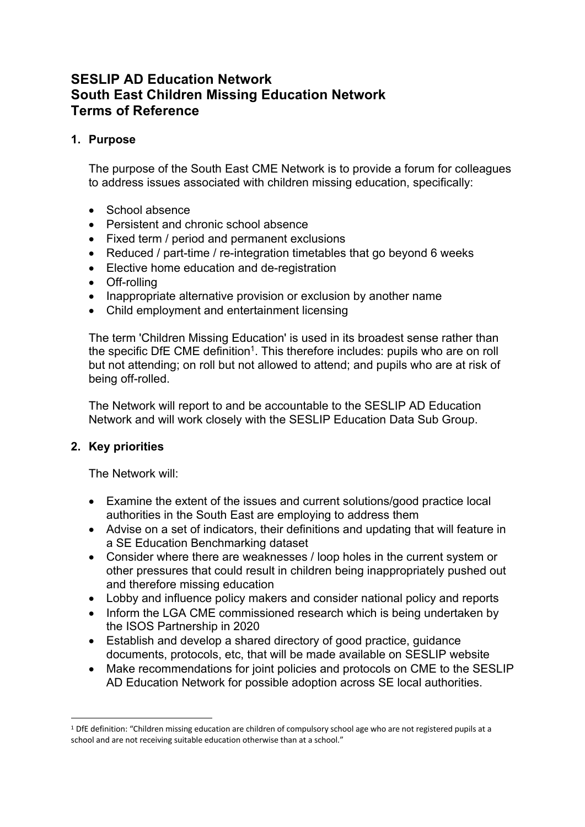# **SESLIP AD Education Network South East Children Missing Education Network Terms of Reference**

## **1. Purpose**

The purpose of the South East CME Network is to provide a forum for colleagues to address issues associated with children missing education, specifically:

- School absence
- Persistent and chronic school absence
- Fixed term / period and permanent exclusions
- Reduced / part-time / re-integration timetables that go beyond 6 weeks
- Elective home education and de-registration
- Off-rolling
- Inappropriate alternative provision or exclusion by another name
- Child employment and entertainment licensing

The term 'Children Missing Education' is used in its broadest sense rather than the specific DfE CME definition<sup>1</sup>. This therefore includes: pupils who are on roll but not attending; on roll but not allowed to attend; and pupils who are at risk of being off-rolled.

The Network will report to and be accountable to the SESLIP AD Education Network and will work closely with the SESLIP Education Data Sub Group.

#### **2. Key priorities**

The Network will:

- Examine the extent of the issues and current solutions/good practice local authorities in the South East are employing to address them
- Advise on a set of indicators, their definitions and updating that will feature in a SE Education Benchmarking dataset
- Consider where there are weaknesses / loop holes in the current system or other pressures that could result in children being inappropriately pushed out and therefore missing education
- Lobby and influence policy makers and consider national policy and reports
- Inform the LGA CME commissioned research which is being undertaken by the ISOS Partnership in 2020
- Establish and develop a shared directory of good practice, guidance documents, protocols, etc, that will be made available on SESLIP website
- Make recommendations for joint policies and protocols on CME to the SESLIP AD Education Network for possible adoption across SE local authorities.

<sup>1</sup> DfE definition: "Children missing education are children of compulsory school age who are not registered pupils at a school and are not receiving suitable education otherwise than at a school."